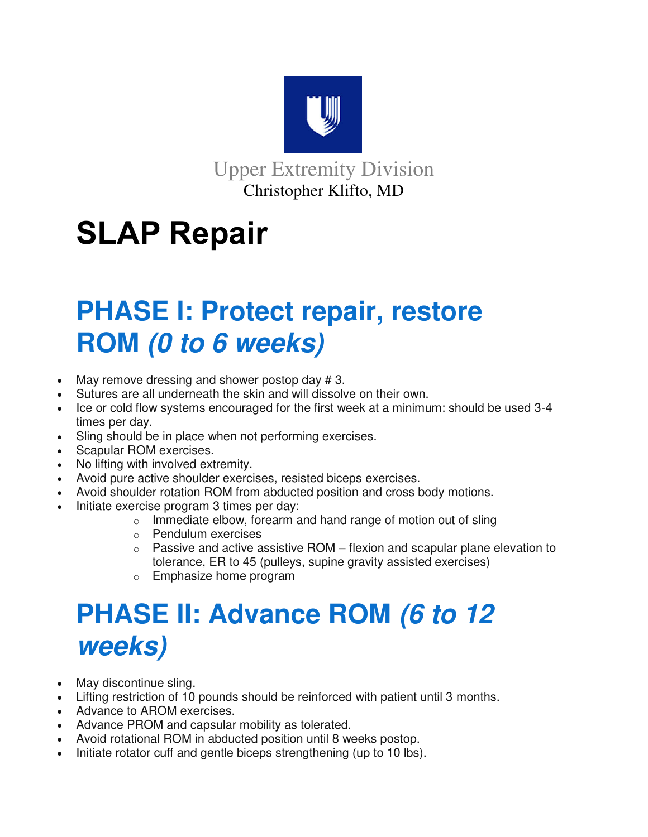

Upper Extremity Division Christopher Klifto, MD

## **SLAP Repair**

## **PHASE I: Protect repair, restore ROM (0 to 6 weeks)**

- May remove dressing and shower postop day #3.
- Sutures are all underneath the skin and will dissolve on their own.
- Ice or cold flow systems encouraged for the first week at a minimum: should be used 3-4 times per day.
- Sling should be in place when not performing exercises.
- Scapular ROM exercises.
- No lifting with involved extremity.
- Avoid pure active shoulder exercises, resisted biceps exercises.
- Avoid shoulder rotation ROM from abducted position and cross body motions.
- Initiate exercise program 3 times per day:
	- $\circ$  Immediate elbow, forearm and hand range of motion out of sling
	- o Pendulum exercises
	- $\circ$  Passive and active assistive ROM flexion and scapular plane elevation to tolerance, ER to 45 (pulleys, supine gravity assisted exercises)
	- o Emphasize home program

## **PHASE II: Advance ROM (6 to 12 weeks)**

- May discontinue sling.
- Lifting restriction of 10 pounds should be reinforced with patient until 3 months.
- Advance to AROM exercises.
- Advance PROM and capsular mobility as tolerated.
- Avoid rotational ROM in abducted position until 8 weeks postop.
- Initiate rotator cuff and gentle biceps strengthening (up to 10 lbs).